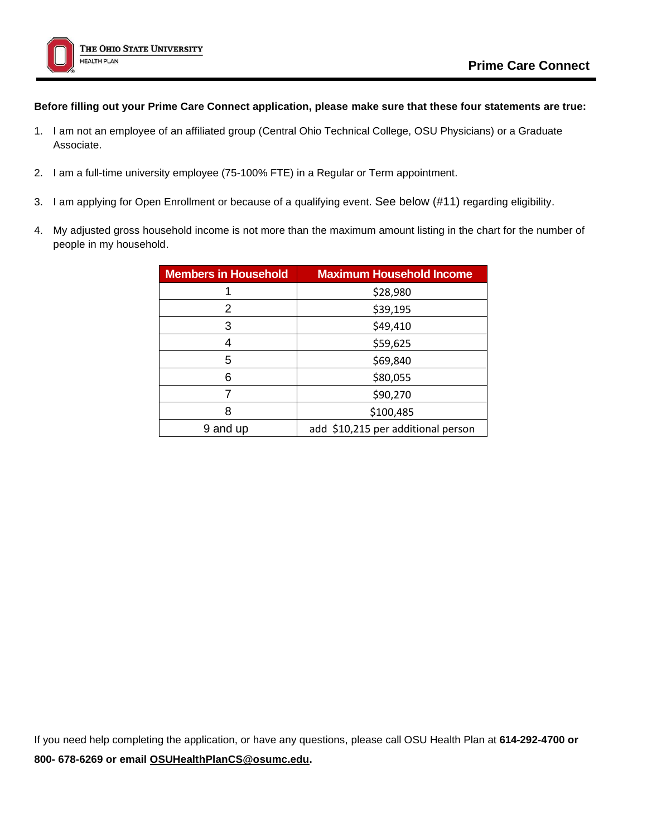

## **Before filling out your Prime Care Connect application, please make sure that these four statements are true:**

- 1. I am not an employee of an affiliated group (Central Ohio Technical College, OSU Physicians) or a Graduate Associate.
- 2. I am a full-time university employee (75-100% FTE) in a Regular or Term appointment.
- 3. I am applying for Open Enrollment or because of a qualifying event. See below (#11) regarding eligibility.
- 4. My adjusted gross household income is not more than the maximum amount listing in the chart for the number of people in my household.

| <b>Members in Household</b> | <b>Maximum Household Income</b>    |  |  |  |  |
|-----------------------------|------------------------------------|--|--|--|--|
|                             | \$28,980                           |  |  |  |  |
| 2                           | \$39,195                           |  |  |  |  |
| 3                           | \$49,410                           |  |  |  |  |
| 4                           | \$59,625                           |  |  |  |  |
| 5                           | \$69,840                           |  |  |  |  |
| 6                           | \$80,055                           |  |  |  |  |
|                             | \$90,270                           |  |  |  |  |
| 8                           | \$100,485                          |  |  |  |  |
| 9 and up                    | add \$10,215 per additional person |  |  |  |  |

If you need help completing the application, or have any questions, please call OSU Health Plan at **614-292-4700 or 800- 678-6269 or email [OSUHealthPlanCS@osumc.edu.](mailto:OSUHealthPlanCS@osumc.edu)**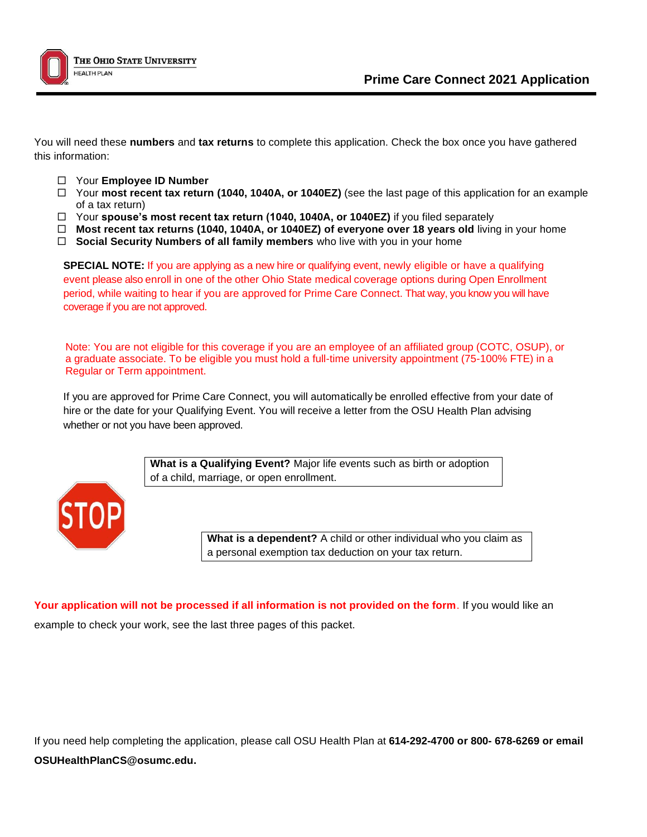

You will need these **numbers** and **tax returns** to complete this application. Check the box once you have gathered this information:

- Your **Employee ID Number**
- Your **most recent tax return (1040, 1040A, or 1040EZ)** (see the last page of this application for an example of a tax return)
- Your **spouse's most recent tax return (1040, 1040A, or 1040EZ)** if you filed separately
- **Most recent tax returns (1040, 1040A, or 1040EZ) of everyone over 18 years old** living in your home
- **Social Security Numbers of all family members** who live with you in your home

**SPECIAL NOTE:** If you are applying as a new hire or qualifying event, newly eligible or have a qualifying event please also enroll in one of the other Ohio State medical coverage options during Open Enrollment period, while waiting to hear if you are approved for Prime Care Connect. That way, you know you will have coverage if you are not approved.

Note: You are not eligible for this coverage if you are an employee of an affiliated group (COTC, OSUP), or a graduate associate. To be eligible you must hold a full-time university appointment (75-100% FTE) in a Regular or Term appointment.

If you are approved for Prime Care Connect, you will automatically be enrolled effective from your date of hire or the date for your Qualifying Event. You will receive a letter from the OSU Health Plan advising whether or not you have been approved.

> **What is a Qualifying Event?** Major life events such as birth or adoption of a child, marriage, or open enrollment.



**What is a dependent?** A child or other individual who you claim as a personal exemption tax deduction on your tax return.

**Your application will not be processed if all information is not provided on the form**. If you would like an example to check your work, see the last three pages of this packet.

If you need help completing the application, please call OSU Health Plan at **614-292-4700 or 800- 678-6269 or email OSUHealthPlanCS@osumc.edu.**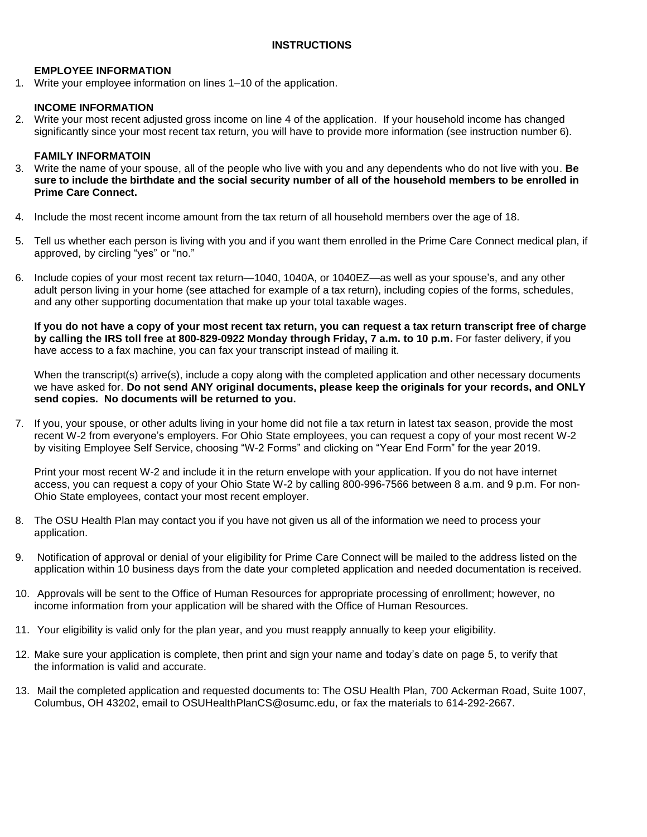## **EMPLOYEE INFORMATION**

1. Write your employee information on lines 1–10 of the application.

## **INCOME INFORMATION**

2. Write your most recent adjusted gross income on line 4 of the application. If your household income has changed significantly since your most recent tax return, you will have to provide more information (see instruction number 6).

## **FAMILY INFORMATOIN**

- 3. Write the name of your spouse, all of the people who live with you and any dependents who do not live with you. **Be sure to include the birthdate and the social security number of all of the household members to be enrolled in Prime Care Connect.**
- 4. Include the most recent income amount from the tax return of all household members over the age of 18.
- 5. Tell us whether each person is living with you and if you want them enrolled in the Prime Care Connect medical plan, if approved, by circling "yes" or "no."
- 6. Include copies of your most recent tax return—1040, 1040A, or 1040EZ—as well as your spouse's, and any other adult person living in your home (see attached for example of a tax return), including copies of the forms, schedules, and any other supporting documentation that make up your total taxable wages.

If you do not have a copy of your most recent tax return, you can request a tax return transcript free of charge **by calling the IRS toll free at 800-829-0922 Monday through Friday, 7 a.m. to 10 p.m.** For faster delivery, if you have access to a fax machine, you can fax your transcript instead of mailing it.

When the transcript(s) arrive(s), include a copy along with the completed application and other necessary documents we have asked for. **Do not send ANY original documents, please keep the originals for your records, and ONLY send copies. No documents will be returned to you.**

7. If you, your spouse, or other adults living in your home did not file a tax return in latest tax season, provide the most recent W-2 from everyone's employers. For Ohio State employees, you can request a copy of your most recent W-2 by visiting [Employee Self Service, choosing "W-2 Forms" and clicking on "Year End Form" for the year 2019.](http://www.w2express.com/)

Print your most recent W-2 and include it in the return envelope with your application. If you do not have internet access, you can request a copy of your Ohio State W-2 by calling 800-996-7566 between 8 a.m. and 9 p.m. For non-Ohio State employees, contact your most recent employer.

- 8. The OSU Health Plan may contact you if you have not given us all of the information we need to process your application.
- 9. Notification of approval or denial of your eligibility for Prime Care Connect will be mailed to the address listed on the application within 10 business days from the date your completed application and needed documentation is received.
- 10. Approvals will be sent to the Office of Human Resources for appropriate processing of enrollment; however, no income information from your application will be shared with the Office of Human Resources.
- 11. Your eligibility is valid only for the plan year, and you must reapply annually to keep your eligibility.
- 12. Make sure your application is complete, then print and sign your name and today's date on page 5, to verify that the information is valid and accurate.
- 13. Mail the completed application and requested documents to: The OSU Health Plan, 700 Ackerman Road, Suite 1007, Columbus, OH 43202, email to OSUHealthPlanCS@osumc.edu, or fax the materials to 614-292-2667.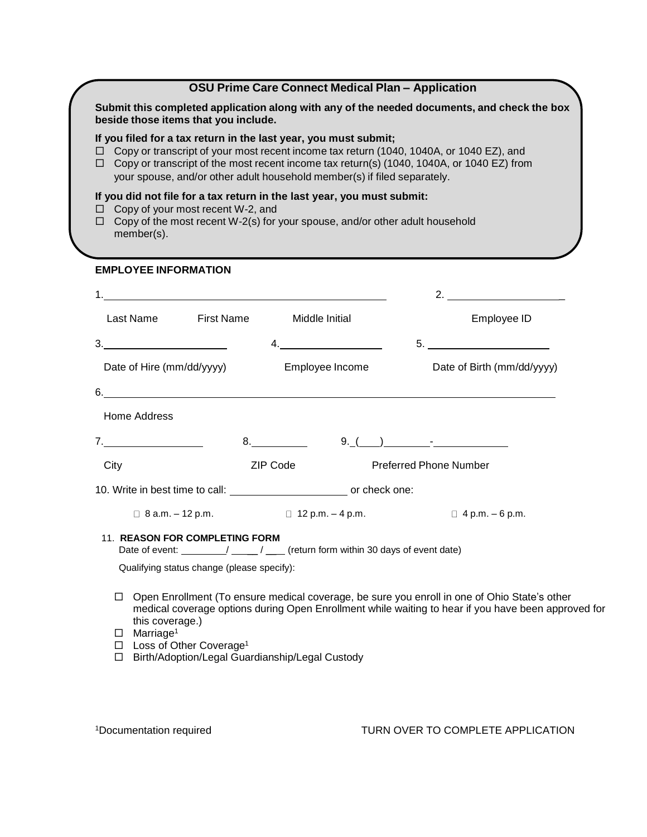# **OSU Prime Care Connect Medical Plan – Application**

**Submit this completed application along with any of the needed documents, and check the box beside those items that you include.**

### **If you filed for a tax return in the last year, you must submit;**

- Copy or transcript of your most recent income tax return (1040, 1040A, or 1040 EZ), and
- $\Box$  Copy or transcript of the most recent income tax return(s) (1040, 1040A, or 1040 EZ) from your spouse, and/or other adult household member(s) if filed separately.

### **If you did not file for a tax return in the last year, you must submit:**

- $\Box$  Copy of your most recent W-2, and
- $\Box$  Copy of the most recent W-2(s) for your spouse, and/or other adult household member(s).

## **EMPLOYEE INFORMATION**

| <u> 1980 - Johann Stoff, fransk politik (f. 1980)</u>                        |                 |                                                                                                                        | 2. $\overline{\phantom{a} \phantom{a} \phantom{a}}$                       |
|------------------------------------------------------------------------------|-----------------|------------------------------------------------------------------------------------------------------------------------|---------------------------------------------------------------------------|
| Last Name First Name Middle Initial                                          |                 |                                                                                                                        | Employee ID                                                               |
| 3.                                                                           |                 | <u> 1990 - Johann Barbara, politik eta politik eta politik eta politik eta politik eta politik eta politik eta p</u> o |                                                                           |
| Date of Hire (mm/dd/yyyy)                                                    |                 | Employee Income                                                                                                        | Date of Birth (mm/dd/yyyy)                                                |
|                                                                              |                 |                                                                                                                        | $6.$ $\overline{\phantom{a}}$                                             |
| Home Address                                                                 |                 |                                                                                                                        |                                                                           |
|                                                                              |                 |                                                                                                                        | $9.$ ( ) $-$                                                              |
| City                                                                         | <b>ZIP Code</b> |                                                                                                                        | <b>Preferred Phone Number</b>                                             |
|                                                                              |                 |                                                                                                                        |                                                                           |
|                                                                              |                 |                                                                                                                        | $\Box$ 8 a.m. $-12$ p.m. $\Box$ 12 p.m. $-4$ p.m. $\Box$ 4 p.m. $-6$ p.m. |
| 11. REASON FOR COMPLETING FORM<br>Qualifying status change (please specify): |                 |                                                                                                                        |                                                                           |

- $\Box$  Open Enrollment (To ensure medical coverage, be sure you enroll in one of Ohio State's other medical coverage options during Open Enrollment while waiting to hear if you have been approved for this coverage.)
- $\square$  Marriage<sup>1</sup>
- □ Loss of Other Coverage<sup>1</sup>

□ Birth/Adoption/Legal Guardianship/Legal Custody

1Documentation required TURN OVER TO COMPLETE APPLICATION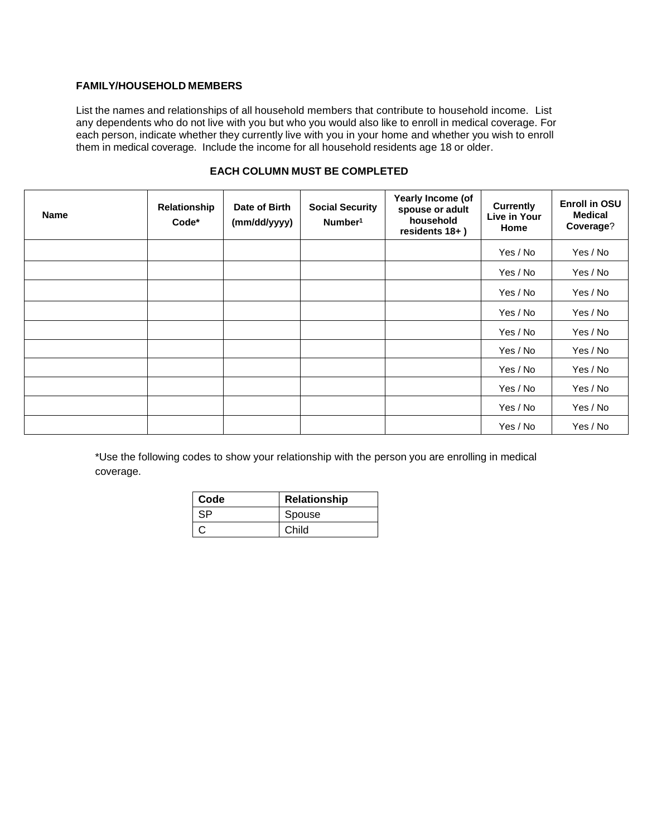## **FAMILY/HOUSEHOLD MEMBERS**

List the names and relationships of all household members that contribute to household income. List any dependents who do not live with you but who you would also like to enroll in medical coverage. For each person, indicate whether they currently live with you in your home and whether you wish to enroll them in medical coverage. Include the income for all household residents age 18 or older.

| <b>Name</b> | Relationship<br>Code* | Date of Birth<br>(mm/dd/yyyy) | <b>Social Security</b><br>Number <sup>1</sup> | Yearly Income (of<br>spouse or adult<br>household<br>residents 18+) | <b>Currently</b><br>Live in Your<br>Home | <b>Enroll in OSU</b><br><b>Medical</b><br>Coverage? |
|-------------|-----------------------|-------------------------------|-----------------------------------------------|---------------------------------------------------------------------|------------------------------------------|-----------------------------------------------------|
|             |                       |                               |                                               |                                                                     | Yes / No                                 | Yes / No                                            |
|             |                       |                               |                                               |                                                                     | Yes / No                                 | Yes / No                                            |
|             |                       |                               |                                               |                                                                     | Yes / No                                 | Yes / No                                            |
|             |                       |                               |                                               |                                                                     | Yes / No                                 | Yes / No                                            |
|             |                       |                               |                                               |                                                                     | Yes / No                                 | Yes / No                                            |
|             |                       |                               |                                               |                                                                     | Yes / No                                 | Yes / No                                            |
|             |                       |                               |                                               |                                                                     | Yes / No                                 | Yes / No                                            |
|             |                       |                               |                                               |                                                                     | Yes / No                                 | Yes / No                                            |
|             |                       |                               |                                               |                                                                     | Yes / No                                 | Yes / No                                            |
|             |                       |                               |                                               |                                                                     | Yes / No                                 | Yes / No                                            |

# **EACH COLUMN MUST BE COMPLETED**

\*Use the following codes to show your relationship with the person you are enrolling in medical coverage.

| Code | Relationship |  |  |  |  |
|------|--------------|--|--|--|--|
| SP   | Spouse       |  |  |  |  |
|      | Child        |  |  |  |  |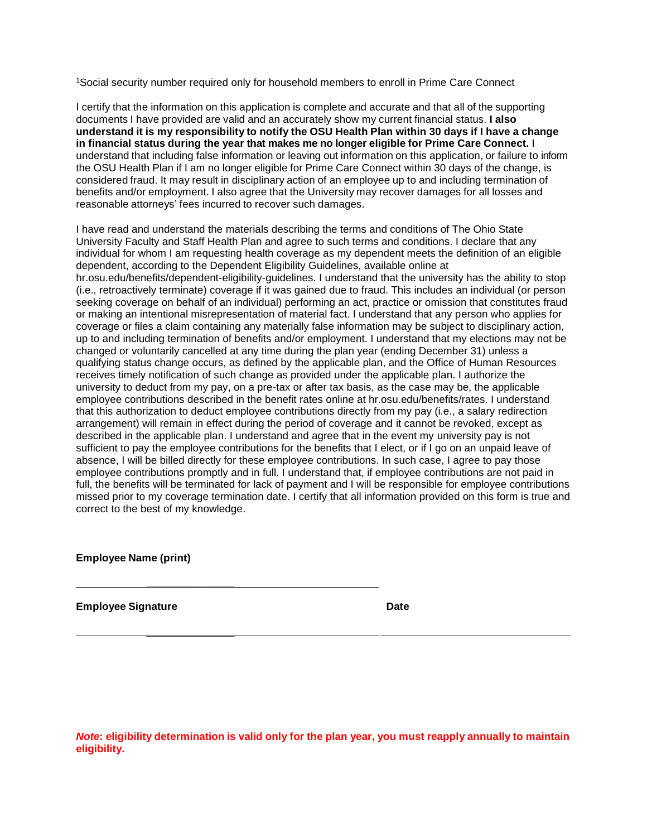<sup>1</sup>Social security number required only for household members to enroll in Prime Care Connect

I certify that the information on this application is complete and accurate and that all of the supporting documents I have provided are valid and an accurately show my current financial status. **I also understand it is my responsibility to notify the OSU Health Plan within 30 days if I have a change in financial status during the year that makes me no longer eligible for Prime Care Connect.** I understand that including false information or leaving out information on this application, or failure to inform the OSU Health Plan if I am no longer eligible for Prime Care Connect within 30 days of the change, is considered fraud. It may result in disciplinary action of an employee up to and including termination of benefits and/or employment. I also agree that the University may recover damages for all losses and reasonable attorneys' fees incurred to recover such damages.

I have read and understand the materials describing the terms and conditions of The Ohio State University Faculty and Staff Health Plan and agree to such terms and conditions. I declare that any individual for whom I am requesting health coverage as my dependent meets the definition of an eligible dependent, according to the Dependent Eligibility Guidelines, available online at hr.osu.edu/benefits/dependent-eligibility-guidelines. I understand that the university has the ability to stop (i.e., retroactively terminate) coverage if it was gained due to fraud. This includes an individual (or person seeking coverage on behalf of an individual) performing an act, practice or omission that constitutes fraud or making an intentional misrepresentation of material fact. I understand that any person who applies for coverage or files a claim containing any materially false information may be subject to disciplinary action, up to and including termination of benefits and/or employment. I understand that my elections may not be changed or voluntarily cancelled at any time during the plan year (ending December 31) unless a qualifying status change occurs, as defined by the applicable plan, and the Office of Human Resources receives timely notification of such change as provided under the applicable plan. I authorize the university to deduct from my pay, on a pre-tax or after tax basis, as the case may be, the applicable employee contributions described in the benefit rates online at hr.osu.edu/benefits/rates. I understand that this authorization to deduct employee contributions directly from my pay (i.e., a salary redirection arrangement) will remain in effect during the period of coverage and it cannot be revoked, except as described in the applicable plan. I understand and agree that in the event my university pay is not sufficient to pay the employee contributions for the benefits that I elect, or if I go on an unpaid leave of absence, I will be billed directly for these employee contributions. In such case, I agree to pay those employee contributions promptly and in full. I understand that, if employee contributions are not paid in full, the benefits will be terminated for lack of payment and I will be responsible for employee contributions missed prior to my coverage termination date. I certify that all information provided on this form is true and correct to the best of my knowledge.

**Employee Name (print)** 

 $\overline{\phantom{a}}$  , which is a set of the set of the set of the set of the set of the set of the set of the set of the set of the set of the set of the set of the set of the set of the set of the set of the set of the set of th

 $\overline{\phantom{a}}$  , and the set of the set of the set of the set of the set of the set of the set of the set of the set of the set of the set of the set of the set of the set of the set of the set of the set of the set of the s

**Employee Signature Date** Date

*Note***: eligibility determination is valid only for the plan year, you must reapply annually to maintain eligibility.**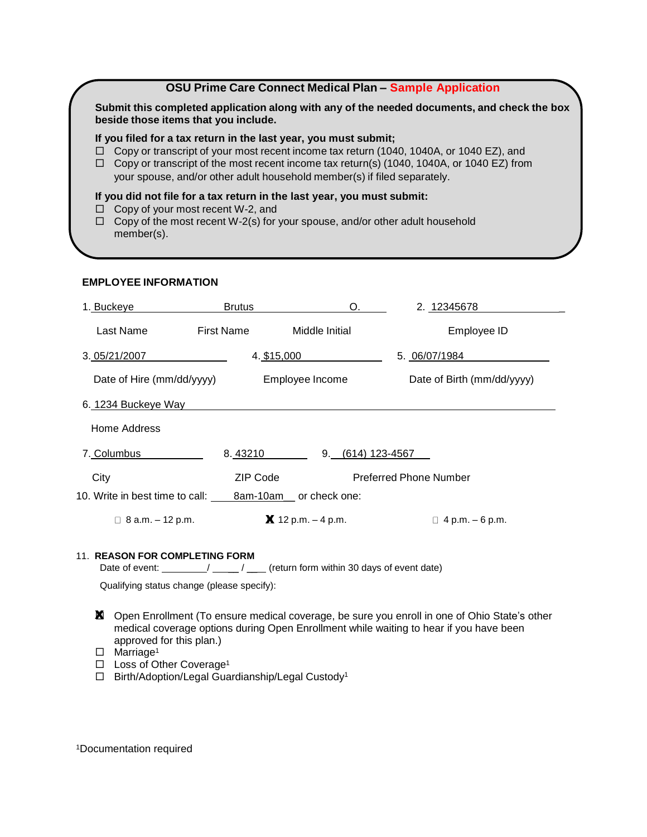# **OSU Prime Care Connect Medical Plan – Sample Application**

**Submit this completed application along with any of the needed documents, and check the box beside those items that you include.**

### **If you filed for a tax return in the last year, you must submit;**

- Copy or transcript of your most recent income tax return (1040, 1040A, or 1040 EZ), and
- $\Box$  Copy or transcript of the most recent income tax return(s) (1040, 1040A, or 1040 EZ) from your spouse, and/or other adult household member(s) if filed separately.

### **If you did not file for a tax return in the last year, you must submit:**

- □ Copy of your most recent W-2, and
- $\Box$  Copy of the most recent W-2(s) for your spouse, and/or other adult household member(s).

### **EMPLOYEE INFORMATION**

| 1. Buckeye                      | <b>Brutus</b>     | O.                        | 2.12345678                    |  |  |  |  |
|---------------------------------|-------------------|---------------------------|-------------------------------|--|--|--|--|
| Last Name                       | <b>First Name</b> | Middle Initial            | Employee ID                   |  |  |  |  |
| 3.05/21/2007                    | 4. \$15,000       |                           | 5. 06/07/1984                 |  |  |  |  |
| Date of Hire (mm/dd/yyyy)       |                   | Employee Income           | Date of Birth (mm/dd/yyyy)    |  |  |  |  |
| 6. 1234 Buckeye Way             |                   |                           |                               |  |  |  |  |
| Home Address                    |                   |                           |                               |  |  |  |  |
| 7. Columbus                     | 8.43210           | 9.                        | $(614)$ 123-4567              |  |  |  |  |
| City                            | <b>ZIP Code</b>   |                           | <b>Preferred Phone Number</b> |  |  |  |  |
| 10. Write in best time to call: |                   | 8am-10am__ or check one:  |                               |  |  |  |  |
| $\Box$ 8 a.m. $-$ 12 p.m.       |                   | $\bm{X}$ 12 p.m. – 4 p.m. | $\Box$ 4 p.m. – 6 p.m.        |  |  |  |  |
|                                 |                   |                           |                               |  |  |  |  |

#### 11. **REASON FOR COMPLETING FORM**

Date of event:  $\frac{1}{\sqrt{2\pi}}$  /  $\frac{1}{\sqrt{2\pi}}$  (return form within 30 days of event date)

Qualifying status change (please specify):

- **X** Open Enrollment (To ensure medical coverage, be sure you enroll in one of Ohio State's other medical coverage options during Open Enrollment while waiting to hear if you have been approved for this plan.)
- $\Box$  Marriage<sup>1</sup>
- □ Loss of Other Coverage<sup>1</sup>

□ Birth/Adoption/Legal Guardianship/Legal Custody<sup>1</sup>

<sup>1</sup>Documentation required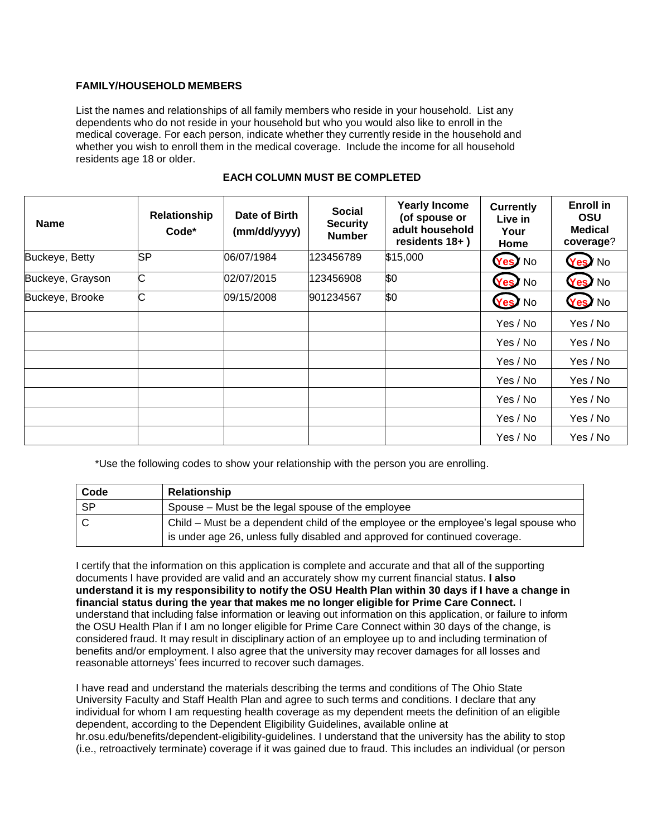## **FAMILY/HOUSEHOLD MEMBERS**

List the names and relationships of all family members who reside in your household. List any dependents who do not reside in your household but who you would also like to enroll in the medical coverage. For each person, indicate whether they currently reside in the household and whether you wish to enroll them in the medical coverage. Include the income for all household residents age 18 or older.

| <b>Name</b>      | Relationship<br>$Code*$ | Date of Birth<br>(mm/dd/yyyy) | <b>Social</b><br><b>Security</b><br><b>Number</b> | <b>Yearly Income</b><br>(of spouse or<br>adult household<br>residents 18+) | <b>Currently</b><br>Live in<br>Your<br>Home | <b>Enroll</b> in<br><b>OSU</b><br><b>Medical</b><br>coverage? |
|------------------|-------------------------|-------------------------------|---------------------------------------------------|----------------------------------------------------------------------------|---------------------------------------------|---------------------------------------------------------------|
| Buckeye, Betty   | <b>SP</b>               | 06/07/1984                    | 123456789                                         | \$15,000                                                                   | Yes <sup>y</sup> No                         | Yes/No                                                        |
| Buckeye, Grayson | C                       | 02/07/2015                    | 123456908                                         | \$0                                                                        | Yes No                                      | Yes / No                                                      |
| Buckeye, Brooke  | C                       | 09/15/2008                    | 901234567                                         | \$0                                                                        | Yes No                                      | Yes / No                                                      |
|                  |                         |                               |                                                   |                                                                            | Yes / No                                    | Yes / No                                                      |
|                  |                         |                               |                                                   |                                                                            | Yes / No                                    | Yes / No                                                      |
|                  |                         |                               |                                                   |                                                                            | Yes / No                                    | Yes / No                                                      |
|                  |                         |                               |                                                   |                                                                            | Yes / No                                    | Yes / No                                                      |
|                  |                         |                               |                                                   |                                                                            | Yes / No                                    | Yes / No                                                      |
|                  |                         |                               |                                                   |                                                                            | Yes / No                                    | Yes / No                                                      |
|                  |                         |                               |                                                   |                                                                            | Yes / No                                    | Yes / No                                                      |

## **EACH COLUMN MUST BE COMPLETED**

\*Use the following codes to show your relationship with the person you are enrolling.

| Code | Relationship                                                                                                                                                        |
|------|---------------------------------------------------------------------------------------------------------------------------------------------------------------------|
| . SP | Spouse – Must be the legal spouse of the employee                                                                                                                   |
|      | Child – Must be a dependent child of the employee or the employee's legal spouse who<br>is under age 26, unless fully disabled and approved for continued coverage. |

I certify that the information on this application is complete and accurate and that all of the supporting documents I have provided are valid and an accurately show my current financial status. **I also understand it is my responsibility to notify the OSU Health Plan within 30 days if I have a change in financial status during the year that makes me no longer eligible for Prime Care Connect.** I understand that including false information or leaving out information on this application, or failure to inform the OSU Health Plan if I am no longer eligible for Prime Care Connect within 30 days of the change, is considered fraud. It may result in disciplinary action of an employee up to and including termination of benefits and/or employment. I also agree that the university may recover damages for all losses and reasonable attorneys' fees incurred to recover such damages.

I have read and understand the materials describing the terms and conditions of The Ohio State University Faculty and Staff Health Plan and agree to such terms and conditions. I declare that any individual for whom I am requesting health coverage as my dependent meets the definition of an eligible dependent, according to the Dependent Eligibility Guidelines, available online at hr.osu.edu/benefits/dependent-eligibility-guidelines. I understand that the university has the ability to stop (i.e., retroactively terminate) coverage if it was gained due to fraud. This includes an individual (or person